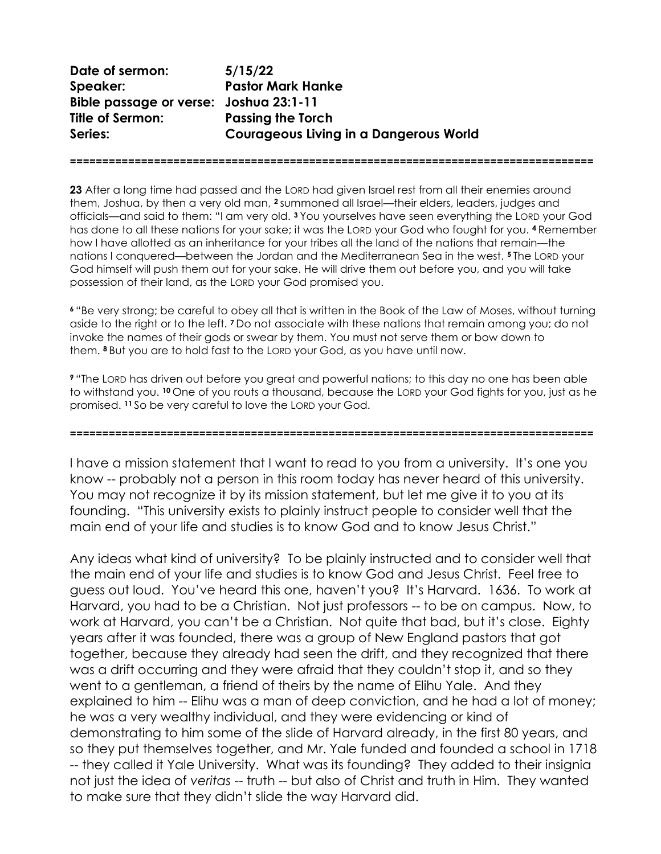Date of sermon: 5/15/22 Speaker: Pastor Mark Hanke Bible passage or verse: Joshua 23:1-11 Title of Sermon: Passing the Torch Series: Courageous Living in a Dangerous World

23 After a long time had passed and the LORD had given Israel rest from all their enemies around them, Joshua, by then a very old man, 2 summoned all Israel—their elders, leaders, judges and officials—and said to them: "I am very old. 3 You yourselves have seen everything the LORD your God has done to all these nations for your sake; it was the LORD your God who fought for you. 4 Remember how I have allotted as an inheritance for your tribes all the land of the nations that remain—the nations I conquered—between the Jordan and the Mediterranean Sea in the west. 5 The LORD your God himself will push them out for your sake. He will drive them out before you, and you will take possession of their land, as the LORD your God promised you.

=================================================================================

<sup>6</sup>"Be very strong; be careful to obey all that is written in the Book of the Law of Moses, without turning aside to the right or to the left. 7 Do not associate with these nations that remain among you; do not invoke the names of their gods or swear by them. You must not serve them or bow down to them. 8 But you are to hold fast to the LORD your God, as you have until now.

<sup>9</sup>"The LORD has driven out before you great and powerful nations; to this day no one has been able to withstand you. 10 One of you routs a thousand, because the LORD your God fights for you, just as he promised. 11 So be very careful to love the LORD your God.

=================================================================================

I have a mission statement that I want to read to you from a university. It's one you know -- probably not a person in this room today has never heard of this university. You may not recognize it by its mission statement, but let me give it to you at its founding. "This university exists to plainly instruct people to consider well that the main end of your life and studies is to know God and to know Jesus Christ."

Any ideas what kind of university? To be plainly instructed and to consider well that the main end of your life and studies is to know God and Jesus Christ. Feel free to guess out loud. You've heard this one, haven't you? It's Harvard. 1636. To work at Harvard, you had to be a Christian. Not just professors -- to be on campus. Now, to work at Harvard, you can't be a Christian. Not quite that bad, but it's close. Eighty years after it was founded, there was a group of New England pastors that got together, because they already had seen the drift, and they recognized that there was a drift occurring and they were afraid that they couldn't stop it, and so they went to a gentleman, a friend of theirs by the name of Elihu Yale. And they explained to him -- Elihu was a man of deep conviction, and he had a lot of money; he was a very wealthy individual, and they were evidencing or kind of demonstrating to him some of the slide of Harvard already, in the first 80 years, and so they put themselves together, and Mr. Yale funded and founded a school in 1718 -- they called it Yale University. What was its founding? They added to their insignia not just the idea of veritas -- truth -- but also of Christ and truth in Him. They wanted to make sure that they didn't slide the way Harvard did.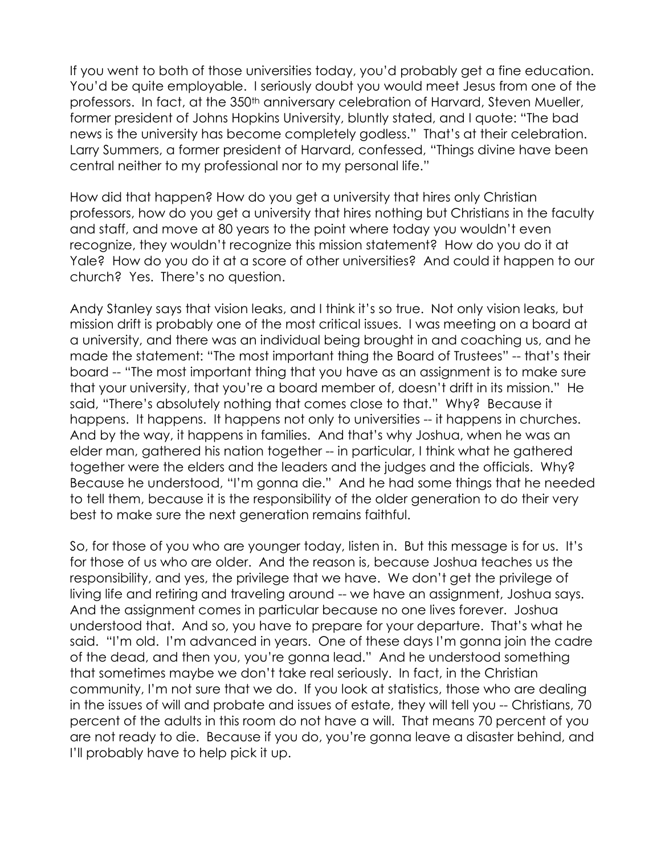If you went to both of those universities today, you'd probably get a fine education. You'd be quite employable. I seriously doubt you would meet Jesus from one of the professors. In fact, at the 350<sup>th</sup> anniversary celebration of Harvard, Steven Mueller, former president of Johns Hopkins University, bluntly stated, and I quote: "The bad news is the university has become completely godless." That's at their celebration. Larry Summers, a former president of Harvard, confessed, "Things divine have been central neither to my professional nor to my personal life."

How did that happen? How do you get a university that hires only Christian professors, how do you get a university that hires nothing but Christians in the faculty and staff, and move at 80 years to the point where today you wouldn't even recognize, they wouldn't recognize this mission statement? How do you do it at Yale? How do you do it at a score of other universities? And could it happen to our church? Yes. There's no question.

Andy Stanley says that vision leaks, and I think it's so true. Not only vision leaks, but mission drift is probably one of the most critical issues. I was meeting on a board at a university, and there was an individual being brought in and coaching us, and he made the statement: "The most important thing the Board of Trustees" -- that's their board -- "The most important thing that you have as an assignment is to make sure that your university, that you're a board member of, doesn't drift in its mission." He said, "There's absolutely nothing that comes close to that." Why? Because it happens. It happens. It happens not only to universities -- it happens in churches. And by the way, it happens in families. And that's why Joshua, when he was an elder man, gathered his nation together -- in particular, I think what he gathered together were the elders and the leaders and the judges and the officials. Why? Because he understood, "I'm gonna die." And he had some things that he needed to tell them, because it is the responsibility of the older generation to do their very best to make sure the next generation remains faithful.

So, for those of you who are younger today, listen in. But this message is for us. It's for those of us who are older. And the reason is, because Joshua teaches us the responsibility, and yes, the privilege that we have. We don't get the privilege of living life and retiring and traveling around -- we have an assignment, Joshua says. And the assignment comes in particular because no one lives forever. Joshua understood that. And so, you have to prepare for your departure. That's what he said. "I'm old. I'm advanced in years. One of these days I'm gonna join the cadre of the dead, and then you, you're gonna lead." And he understood something that sometimes maybe we don't take real seriously. In fact, in the Christian community, I'm not sure that we do. If you look at statistics, those who are dealing in the issues of will and probate and issues of estate, they will tell you -- Christians, 70 percent of the adults in this room do not have a will. That means 70 percent of you are not ready to die. Because if you do, you're gonna leave a disaster behind, and I'll probably have to help pick it up.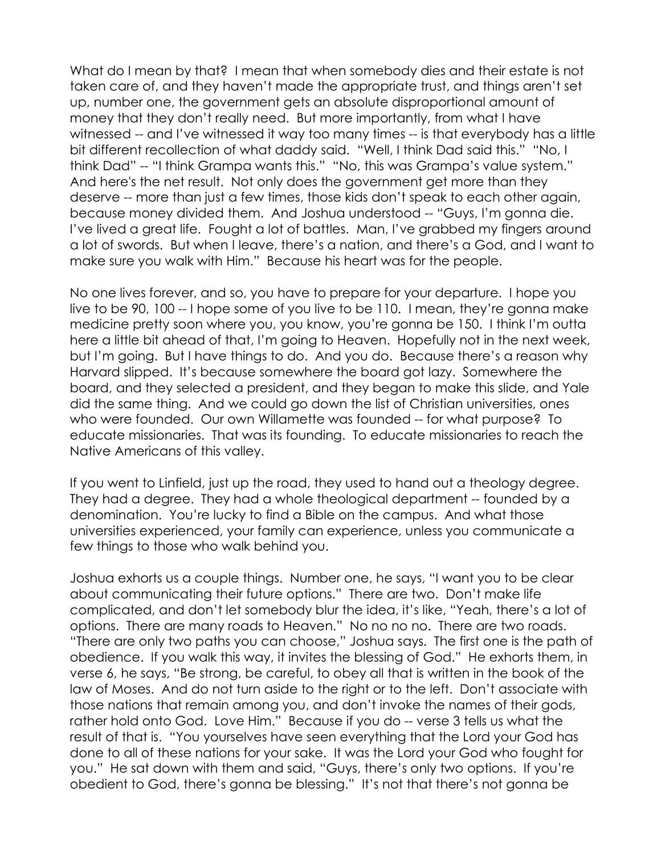What do I mean by that? I mean that when somebody dies and their estate is not taken care of, and they haven't made the appropriate trust, and things aren't set up, number one, the government gets an absolute disproportional amount of money that they don't really need. But more importantly, from what I have witnessed -- and I've witnessed it way too many times -- is that everybody has a little bit different recollection of what daddy said. "Well, I think Dad said this." "No, I think Dad" -- "I think Grampa wants this." "No, this was Grampa's value system." And here's the net result. Not only does the government get more than they deserve -- more than just a few times, those kids don't speak to each other again, because money divided them. And Joshua understood -- "Guys, I'm gonna die. I've lived a great life. Fought a lot of battles. Man, I've grabbed my fingers around a lot of swords. But when I leave, there's a nation, and there's a God, and I want to make sure you walk with Him." Because his heart was for the people.

No one lives forever, and so, you have to prepare for your departure. I hope you live to be 90, 100 -- I hope some of you live to be 110. I mean, they're gonna make medicine pretty soon where you, you know, you're gonna be 150. I think I'm outta here a little bit ahead of that, I'm going to Heaven. Hopefully not in the next week, but I'm going. But I have things to do. And you do. Because there's a reason why Harvard slipped. It's because somewhere the board got lazy. Somewhere the board, and they selected a president, and they began to make this slide, and Yale did the same thing. And we could go down the list of Christian universities, ones who were founded. Our own Willamette was founded -- for what purpose? To educate missionaries. That was its founding. To educate missionaries to reach the Native Americans of this valley.

If you went to Linfield, just up the road, they used to hand out a theology degree. They had a degree. They had a whole theological department -- founded by a denomination. You're lucky to find a Bible on the campus. And what those universities experienced, your family can experience, unless you communicate a few things to those who walk behind you.

Joshua exhorts us a couple things. Number one, he says, "I want you to be clear about communicating their future options." There are two. Don't make life complicated, and don't let somebody blur the idea, it's like, "Yeah, there's a lot of options. There are many roads to Heaven." No no no no. There are two roads. "There are only two paths you can choose," Joshua says. The first one is the path of obedience. If you walk this way, it invites the blessing of God." He exhorts them, in verse 6, he says, "Be strong, be careful, to obey all that is written in the book of the law of Moses. And do not turn aside to the right or to the left. Don't associate with those nations that remain among you, and don't invoke the names of their gods, rather hold onto God. Love Him." Because if you do -- verse 3 tells us what the result of that is. "You yourselves have seen everything that the Lord your God has done to all of these nations for your sake. It was the Lord your God who fought for you." He sat down with them and said, "Guys, there's only two options. If you're obedient to God, there's gonna be blessing." It's not that there's not gonna be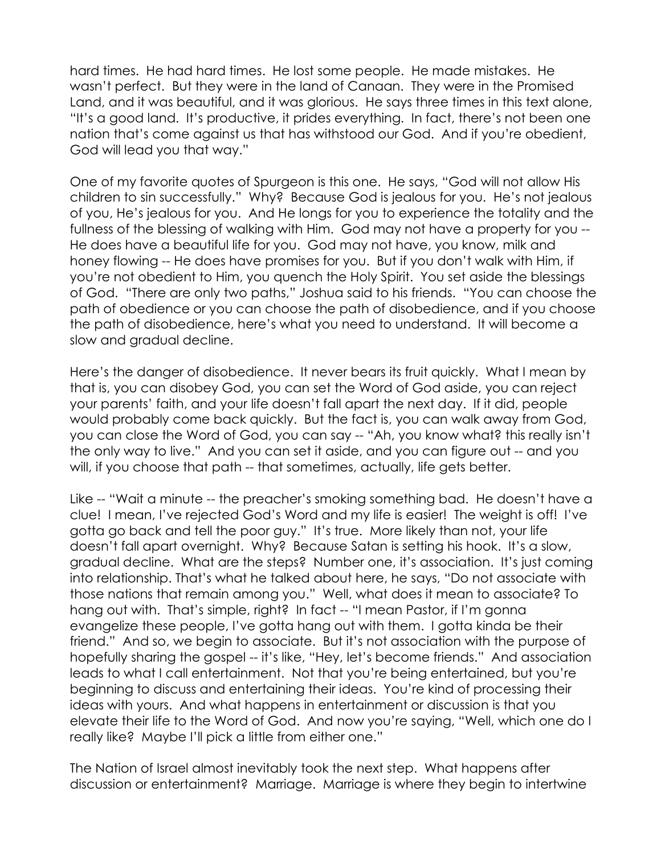hard times. He had hard times. He lost some people. He made mistakes. He wasn't perfect. But they were in the land of Canaan. They were in the Promised Land, and it was beautiful, and it was glorious. He says three times in this text alone, "It's a good land. It's productive, it prides everything. In fact, there's not been one nation that's come against us that has withstood our God. And if you're obedient, God will lead you that way."

One of my favorite quotes of Spurgeon is this one. He says, "God will not allow His children to sin successfully." Why? Because God is jealous for you. He's not jealous of you, He's jealous for you. And He longs for you to experience the totality and the fullness of the blessing of walking with Him. God may not have a property for you -- He does have a beautiful life for you. God may not have, you know, milk and honey flowing -- He does have promises for you. But if you don't walk with Him, if you're not obedient to Him, you quench the Holy Spirit. You set aside the blessings of God. "There are only two paths," Joshua said to his friends. "You can choose the path of obedience or you can choose the path of disobedience, and if you choose the path of disobedience, here's what you need to understand. It will become a slow and gradual decline.

Here's the danger of disobedience. It never bears its fruit quickly. What I mean by that is, you can disobey God, you can set the Word of God aside, you can reject your parents' faith, and your life doesn't fall apart the next day. If it did, people would probably come back quickly. But the fact is, you can walk away from God, you can close the Word of God, you can say -- "Ah, you know what? this really isn't the only way to live." And you can set it aside, and you can figure out -- and you will, if you choose that path -- that sometimes, actually, life gets better.

Like -- "Wait a minute -- the preacher's smoking something bad. He doesn't have a clue! I mean, I've rejected God's Word and my life is easier! The weight is off! I've gotta go back and tell the poor guy." It's true. More likely than not, your life doesn't fall apart overnight. Why? Because Satan is setting his hook. It's a slow, gradual decline. What are the steps? Number one, it's association. It's just coming into relationship. That's what he talked about here, he says, "Do not associate with those nations that remain among you." Well, what does it mean to associate? To hang out with. That's simple, right? In fact -- "I mean Pastor, if I'm gonna evangelize these people, I've gotta hang out with them. I gotta kinda be their friend." And so, we begin to associate. But it's not association with the purpose of hopefully sharing the gospel -- it's like, "Hey, let's become friends." And association leads to what I call entertainment. Not that you're being entertained, but you're beginning to discuss and entertaining their ideas. You're kind of processing their ideas with yours. And what happens in entertainment or discussion is that you elevate their life to the Word of God. And now you're saying, "Well, which one do I really like? Maybe I'll pick a little from either one."

The Nation of Israel almost inevitably took the next step. What happens after discussion or entertainment? Marriage. Marriage is where they begin to intertwine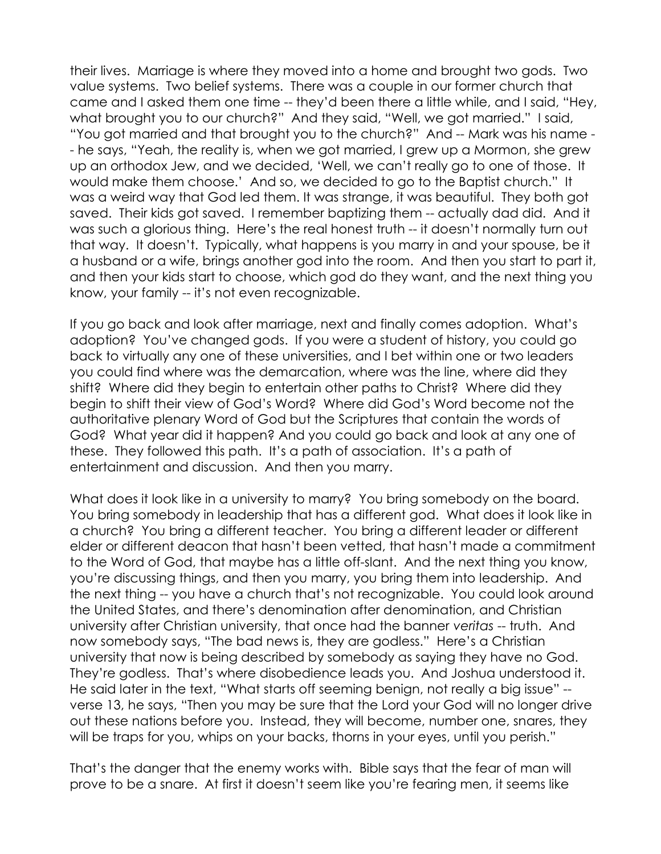their lives. Marriage is where they moved into a home and brought two gods. Two value systems. Two belief systems. There was a couple in our former church that came and I asked them one time -- they'd been there a little while, and I said, "Hey, what brought you to our church?" And they said, "Well, we got married." I said, "You got married and that brought you to the church?" And -- Mark was his name - - he says, "Yeah, the reality is, when we got married, I grew up a Mormon, she grew up an orthodox Jew, and we decided, 'Well, we can't really go to one of those. It would make them choose.' And so, we decided to go to the Baptist church." It was a weird way that God led them. It was strange, it was beautiful. They both got saved. Their kids got saved. I remember baptizing them -- actually dad did. And it was such a glorious thing. Here's the real honest truth -- it doesn't normally turn out that way. It doesn't. Typically, what happens is you marry in and your spouse, be it a husband or a wife, brings another god into the room. And then you start to part it, and then your kids start to choose, which god do they want, and the next thing you know, your family -- it's not even recognizable.

If you go back and look after marriage, next and finally comes adoption. What's adoption? You've changed gods. If you were a student of history, you could go back to virtually any one of these universities, and I bet within one or two leaders you could find where was the demarcation, where was the line, where did they shift? Where did they begin to entertain other paths to Christ? Where did they begin to shift their view of God's Word? Where did God's Word become not the authoritative plenary Word of God but the Scriptures that contain the words of God? What year did it happen? And you could go back and look at any one of these. They followed this path. It's a path of association. It's a path of entertainment and discussion. And then you marry.

What does it look like in a university to marry? You bring somebody on the board. You bring somebody in leadership that has a different god. What does it look like in a church? You bring a different teacher. You bring a different leader or different elder or different deacon that hasn't been vetted, that hasn't made a commitment to the Word of God, that maybe has a little off-slant. And the next thing you know, you're discussing things, and then you marry, you bring them into leadership. And the next thing -- you have a church that's not recognizable. You could look around the United States, and there's denomination after denomination, and Christian university after Christian university, that once had the banner veritas -- truth. And now somebody says, "The bad news is, they are godless." Here's a Christian university that now is being described by somebody as saying they have no God. They're godless. That's where disobedience leads you. And Joshua understood it. He said later in the text, "What starts off seeming benign, not really a big issue" - verse 13, he says, "Then you may be sure that the Lord your God will no longer drive out these nations before you. Instead, they will become, number one, snares, they will be traps for you, whips on your backs, thorns in your eyes, until you perish."

That's the danger that the enemy works with. Bible says that the fear of man will prove to be a snare. At first it doesn't seem like you're fearing men, it seems like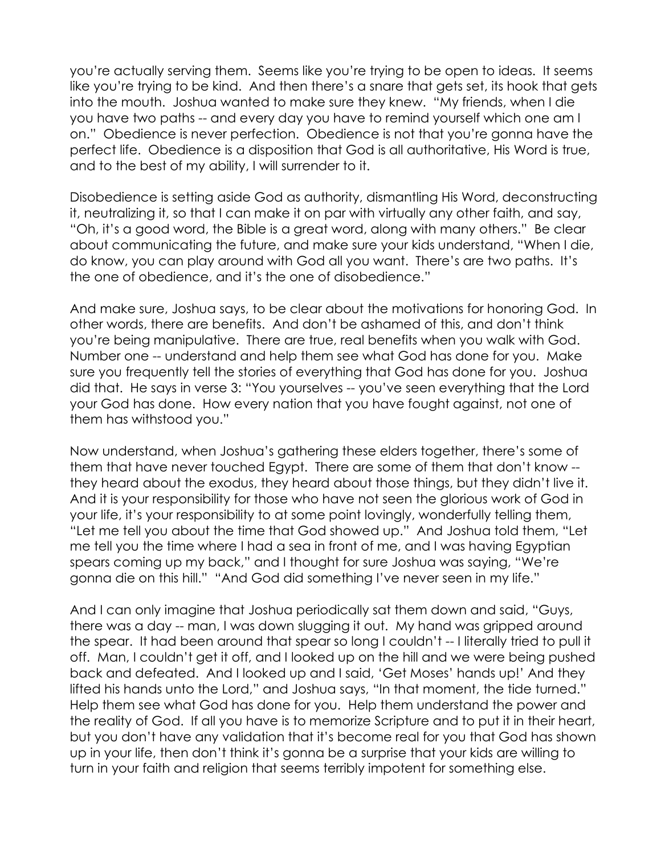you're actually serving them. Seems like you're trying to be open to ideas. It seems like you're trying to be kind. And then there's a snare that gets set, its hook that gets into the mouth. Joshua wanted to make sure they knew. "My friends, when I die you have two paths -- and every day you have to remind yourself which one am I on." Obedience is never perfection. Obedience is not that you're gonna have the perfect life. Obedience is a disposition that God is all authoritative, His Word is true, and to the best of my ability, I will surrender to it.

Disobedience is setting aside God as authority, dismantling His Word, deconstructing it, neutralizing it, so that I can make it on par with virtually any other faith, and say, "Oh, it's a good word, the Bible is a great word, along with many others." Be clear about communicating the future, and make sure your kids understand, "When I die, do know, you can play around with God all you want. There's are two paths. It's the one of obedience, and it's the one of disobedience."

And make sure, Joshua says, to be clear about the motivations for honoring God. In other words, there are benefits. And don't be ashamed of this, and don't think you're being manipulative. There are true, real benefits when you walk with God. Number one -- understand and help them see what God has done for you. Make sure you frequently tell the stories of everything that God has done for you. Joshua did that. He says in verse 3: "You yourselves -- you've seen everything that the Lord your God has done. How every nation that you have fought against, not one of them has withstood you."

Now understand, when Joshua's gathering these elders together, there's some of them that have never touched Egypt. There are some of them that don't know - they heard about the exodus, they heard about those things, but they didn't live it. And it is your responsibility for those who have not seen the glorious work of God in your life, it's your responsibility to at some point lovingly, wonderfully telling them, "Let me tell you about the time that God showed up." And Joshua told them, "Let me tell you the time where I had a sea in front of me, and I was having Egyptian spears coming up my back," and I thought for sure Joshua was saying, "We're gonna die on this hill." "And God did something I've never seen in my life."

And I can only imagine that Joshua periodically sat them down and said, "Guys, there was a day -- man, I was down slugging it out. My hand was gripped around the spear. It had been around that spear so long I couldn't -- I literally tried to pull it off. Man, I couldn't get it off, and I looked up on the hill and we were being pushed back and defeated. And I looked up and I said, 'Get Moses' hands up!' And they lifted his hands unto the Lord," and Joshua says, "In that moment, the tide turned." Help them see what God has done for you. Help them understand the power and the reality of God. If all you have is to memorize Scripture and to put it in their heart, but you don't have any validation that it's become real for you that God has shown up in your life, then don't think it's gonna be a surprise that your kids are willing to turn in your faith and religion that seems terribly impotent for something else.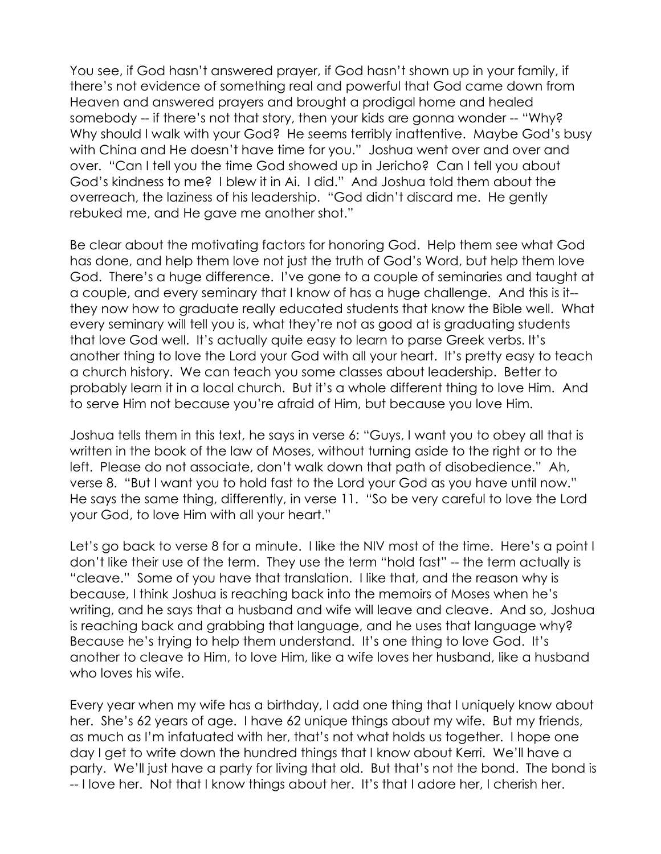You see, if God hasn't answered prayer, if God hasn't shown up in your family, if there's not evidence of something real and powerful that God came down from Heaven and answered prayers and brought a prodigal home and healed somebody -- if there's not that story, then your kids are gonna wonder -- "Why? Why should I walk with your God? He seems terribly inattentive. Maybe God's busy with China and He doesn't have time for you." Joshua went over and over and over. "Can I tell you the time God showed up in Jericho? Can I tell you about God's kindness to me? I blew it in Ai. I did." And Joshua told them about the overreach, the laziness of his leadership. "God didn't discard me. He gently rebuked me, and He gave me another shot."

Be clear about the motivating factors for honoring God. Help them see what God has done, and help them love not just the truth of God's Word, but help them love God. There's a huge difference. I've gone to a couple of seminaries and taught at a couple, and every seminary that I know of has a huge challenge. And this is it- they now how to graduate really educated students that know the Bible well. What every seminary will tell you is, what they're not as good at is graduating students that love God well. It's actually quite easy to learn to parse Greek verbs. It's another thing to love the Lord your God with all your heart. It's pretty easy to teach a church history. We can teach you some classes about leadership. Better to probably learn it in a local church. But it's a whole different thing to love Him. And to serve Him not because you're afraid of Him, but because you love Him.

Joshua tells them in this text, he says in verse 6: "Guys, I want you to obey all that is written in the book of the law of Moses, without turning aside to the right or to the left. Please do not associate, don't walk down that path of disobedience." Ah, verse 8. "But I want you to hold fast to the Lord your God as you have until now." He says the same thing, differently, in verse 11. "So be very careful to love the Lord your God, to love Him with all your heart."

Let's go back to verse 8 for a minute. I like the NIV most of the time. Here's a point I don't like their use of the term. They use the term "hold fast" -- the term actually is "cleave." Some of you have that translation. I like that, and the reason why is because, I think Joshua is reaching back into the memoirs of Moses when he's writing, and he says that a husband and wife will leave and cleave. And so, Joshua is reaching back and grabbing that language, and he uses that language why? Because he's trying to help them understand. It's one thing to love God. It's another to cleave to Him, to love Him, like a wife loves her husband, like a husband who loves his wife.

Every year when my wife has a birthday, I add one thing that I uniquely know about her. She's 62 years of age. I have 62 unique things about my wife. But my friends, as much as I'm infatuated with her, that's not what holds us together. I hope one day I get to write down the hundred things that I know about Kerri. We'll have a party. We'll just have a party for living that old. But that's not the bond. The bond is -- I love her. Not that I know things about her. It's that I adore her, I cherish her.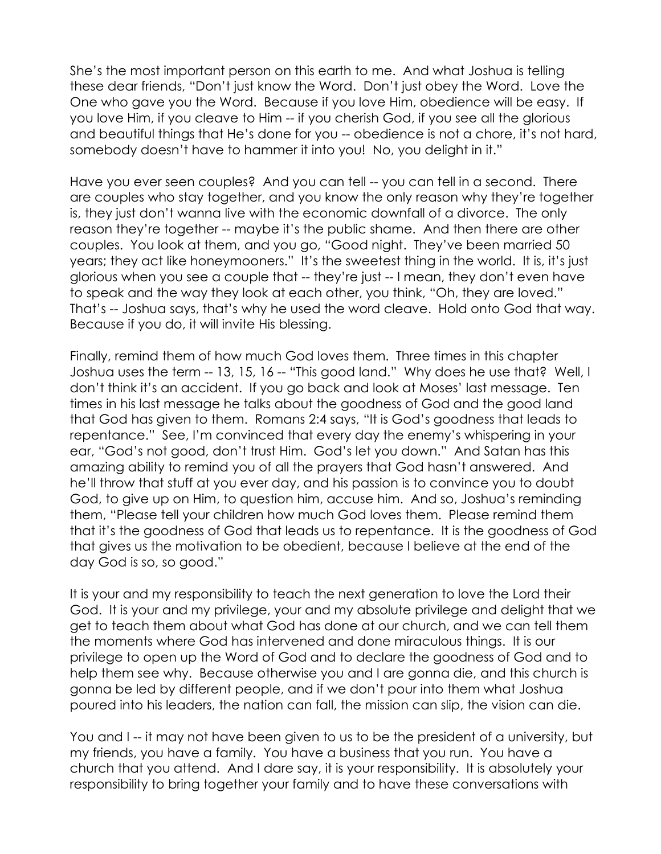She's the most important person on this earth to me. And what Joshua is telling these dear friends, "Don't just know the Word. Don't just obey the Word. Love the One who gave you the Word. Because if you love Him, obedience will be easy. If you love Him, if you cleave to Him -- if you cherish God, if you see all the glorious and beautiful things that He's done for you -- obedience is not a chore, it's not hard, somebody doesn't have to hammer it into you! No, you delight in it."

Have you ever seen couples? And you can tell -- you can tell in a second. There are couples who stay together, and you know the only reason why they're together is, they just don't wanna live with the economic downfall of a divorce. The only reason they're together -- maybe it's the public shame. And then there are other couples. You look at them, and you go, "Good night. They've been married 50 years; they act like honeymooners." It's the sweetest thing in the world. It is, it's just glorious when you see a couple that -- they're just -- I mean, they don't even have to speak and the way they look at each other, you think, "Oh, they are loved." That's -- Joshua says, that's why he used the word cleave. Hold onto God that way. Because if you do, it will invite His blessing.

Finally, remind them of how much God loves them. Three times in this chapter Joshua uses the term -- 13, 15, 16 -- "This good land." Why does he use that? Well, I don't think it's an accident. If you go back and look at Moses' last message. Ten times in his last message he talks about the goodness of God and the good land that God has given to them. Romans 2:4 says, "It is God's goodness that leads to repentance." See, I'm convinced that every day the enemy's whispering in your ear, "God's not good, don't trust Him. God's let you down." And Satan has this amazing ability to remind you of all the prayers that God hasn't answered. And he'll throw that stuff at you ever day, and his passion is to convince you to doubt God, to give up on Him, to question him, accuse him. And so, Joshua's reminding them, "Please tell your children how much God loves them. Please remind them that it's the goodness of God that leads us to repentance. It is the goodness of God that gives us the motivation to be obedient, because I believe at the end of the day God is so, so good."

It is your and my responsibility to teach the next generation to love the Lord their God. It is your and my privilege, your and my absolute privilege and delight that we get to teach them about what God has done at our church, and we can tell them the moments where God has intervened and done miraculous things. It is our privilege to open up the Word of God and to declare the goodness of God and to help them see why. Because otherwise you and I are gonna die, and this church is gonna be led by different people, and if we don't pour into them what Joshua poured into his leaders, the nation can fall, the mission can slip, the vision can die.

You and I -- it may not have been given to us to be the president of a university, but my friends, you have a family. You have a business that you run. You have a church that you attend. And I dare say, it is your responsibility. It is absolutely your responsibility to bring together your family and to have these conversations with